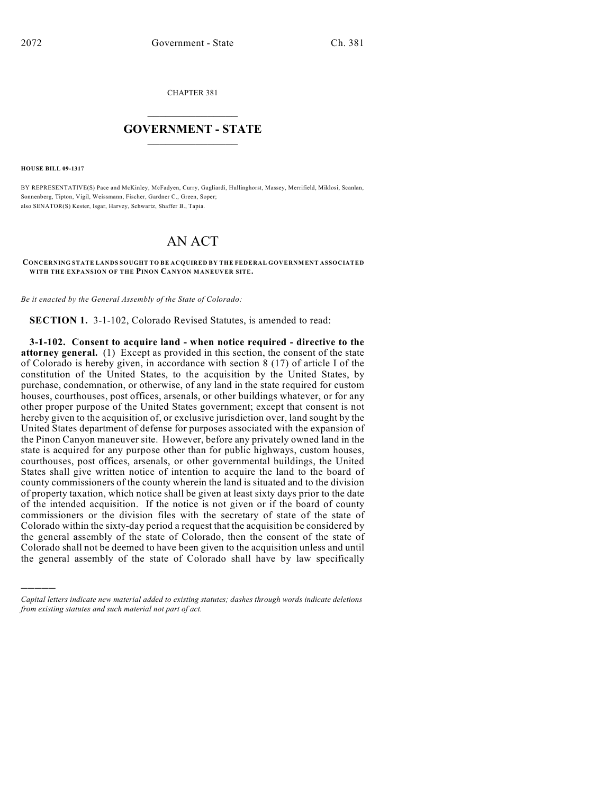CHAPTER 381

## $\mathcal{L}_\text{max}$  . The set of the set of the set of the set of the set of the set of the set of the set of the set of the set of the set of the set of the set of the set of the set of the set of the set of the set of the set **GOVERNMENT - STATE**  $\_$   $\_$

**HOUSE BILL 09-1317**

)))))

BY REPRESENTATIVE(S) Pace and McKinley, McFadyen, Curry, Gagliardi, Hullinghorst, Massey, Merrifield, Miklosi, Scanlan, Sonnenberg, Tipton, Vigil, Weissmann, Fischer, Gardner C., Green, Soper; also SENATOR(S) Kester, Isgar, Harvey, Schwartz, Shaffer B., Tapia.

## AN ACT

## **CONCERNING STATE LANDS SOUGHT TO BE ACQUIRED BY THE FEDERAL GOVERNMENT ASSOCIATED WITH THE EXPANSION OF THE PINON CANYON MANEUVER SITE.**

*Be it enacted by the General Assembly of the State of Colorado:*

**SECTION 1.** 3-1-102, Colorado Revised Statutes, is amended to read:

**3-1-102. Consent to acquire land - when notice required - directive to the attorney general.** (1) Except as provided in this section, the consent of the state of Colorado is hereby given, in accordance with section 8 (17) of article I of the constitution of the United States, to the acquisition by the United States, by purchase, condemnation, or otherwise, of any land in the state required for custom houses, courthouses, post offices, arsenals, or other buildings whatever, or for any other proper purpose of the United States government; except that consent is not hereby given to the acquisition of, or exclusive jurisdiction over, land sought by the United States department of defense for purposes associated with the expansion of the Pinon Canyon maneuver site. However, before any privately owned land in the state is acquired for any purpose other than for public highways, custom houses, courthouses, post offices, arsenals, or other governmental buildings, the United States shall give written notice of intention to acquire the land to the board of county commissioners of the county wherein the land is situated and to the division of property taxation, which notice shall be given at least sixty days prior to the date of the intended acquisition. If the notice is not given or if the board of county commissioners or the division files with the secretary of state of the state of Colorado within the sixty-day period a request that the acquisition be considered by the general assembly of the state of Colorado, then the consent of the state of Colorado shall not be deemed to have been given to the acquisition unless and until the general assembly of the state of Colorado shall have by law specifically

*Capital letters indicate new material added to existing statutes; dashes through words indicate deletions from existing statutes and such material not part of act.*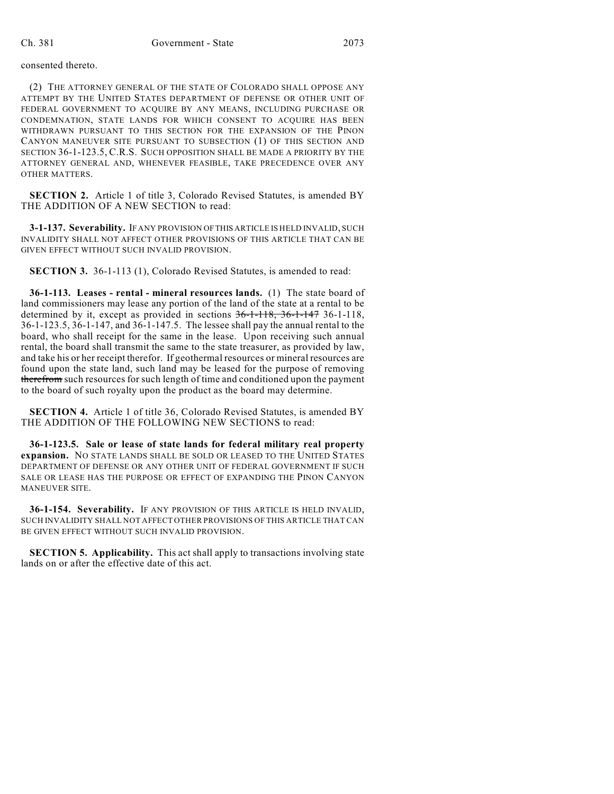consented thereto.

(2) THE ATTORNEY GENERAL OF THE STATE OF COLORADO SHALL OPPOSE ANY ATTEMPT BY THE UNITED STATES DEPARTMENT OF DEFENSE OR OTHER UNIT OF FEDERAL GOVERNMENT TO ACQUIRE BY ANY MEANS, INCLUDING PURCHASE OR CONDEMNATION, STATE LANDS FOR WHICH CONSENT TO ACQUIRE HAS BEEN WITHDRAWN PURSUANT TO THIS SECTION FOR THE EXPANSION OF THE PINON CANYON MANEUVER SITE PURSUANT TO SUBSECTION (1) OF THIS SECTION AND SECTION 36-1-123.5, C.R.S. SUCH OPPOSITION SHALL BE MADE A PRIORITY BY THE ATTORNEY GENERAL AND, WHENEVER FEASIBLE, TAKE PRECEDENCE OVER ANY OTHER MATTERS.

**SECTION 2.** Article 1 of title 3, Colorado Revised Statutes, is amended BY THE ADDITION OF A NEW SECTION to read:

**3-1-137. Severability.** IF ANY PROVISION OF THIS ARTICLE IS HELD INVALID, SUCH INVALIDITY SHALL NOT AFFECT OTHER PROVISIONS OF THIS ARTICLE THAT CAN BE GIVEN EFFECT WITHOUT SUCH INVALID PROVISION.

**SECTION 3.** 36-1-113 (1), Colorado Revised Statutes, is amended to read:

**36-1-113. Leases - rental - mineral resources lands.** (1) The state board of land commissioners may lease any portion of the land of the state at a rental to be determined by it, except as provided in sections 36-1-118, 36-1-147 36-1-118, 36-1-123.5, 36-1-147, and 36-1-147.5. The lessee shall pay the annual rental to the board, who shall receipt for the same in the lease. Upon receiving such annual rental, the board shall transmit the same to the state treasurer, as provided by law, and take his or her receipt therefor. If geothermal resources or mineral resources are found upon the state land, such land may be leased for the purpose of removing therefrom such resources for such length of time and conditioned upon the payment to the board of such royalty upon the product as the board may determine.

**SECTION 4.** Article 1 of title 36, Colorado Revised Statutes, is amended BY THE ADDITION OF THE FOLLOWING NEW SECTIONS to read:

**36-1-123.5. Sale or lease of state lands for federal military real property expansion.** NO STATE LANDS SHALL BE SOLD OR LEASED TO THE UNITED STATES DEPARTMENT OF DEFENSE OR ANY OTHER UNIT OF FEDERAL GOVERNMENT IF SUCH SALE OR LEASE HAS THE PURPOSE OR EFFECT OF EXPANDING THE PINON CANYON MANEUVER SITE.

**36-1-154. Severability.** IF ANY PROVISION OF THIS ARTICLE IS HELD INVALID, SUCH INVALIDITY SHALL NOT AFFECT OTHER PROVISIONS OF THIS ARTICLE THAT CAN BE GIVEN EFFECT WITHOUT SUCH INVALID PROVISION.

**SECTION 5. Applicability.** This act shall apply to transactions involving state lands on or after the effective date of this act.